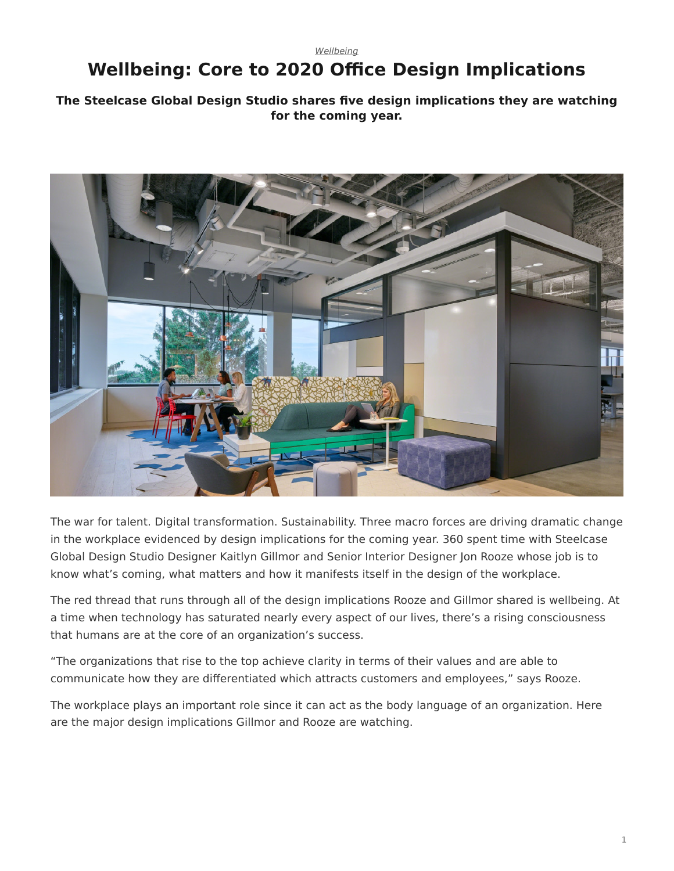## *[Wellbeing](https://www.steelcase.com/asia-en/research/topics/wellbeing/)* **Wellbeing: Core to 2020 Office Design Implications**

### **The Steelcase Global Design Studio shares five design implications they are watching for the coming year.**



The war for talent. Digital transformation. Sustainability. Three macro forces are driving dramatic change in the workplace evidenced by design implications for the coming year. 360 spent time with Steelcase Global Design Studio Designer Kaitlyn Gillmor and Senior Interior Designer Jon Rooze whose job is to know what's coming, what matters and how it manifests itself in the design of the workplace.

The red thread that runs through all of the design implications Rooze and Gillmor shared is wellbeing. At a time when technology has saturated nearly every aspect of our lives, there's a rising consciousness that humans are at the core of an organization's success.

"The organizations that rise to the top achieve clarity in terms of their values and are able to communicate how they are differentiated which attracts customers and employees," says Rooze.

The workplace plays an important role since it can act as the body language of an organization. Here are the major design implications Gillmor and Rooze are watching.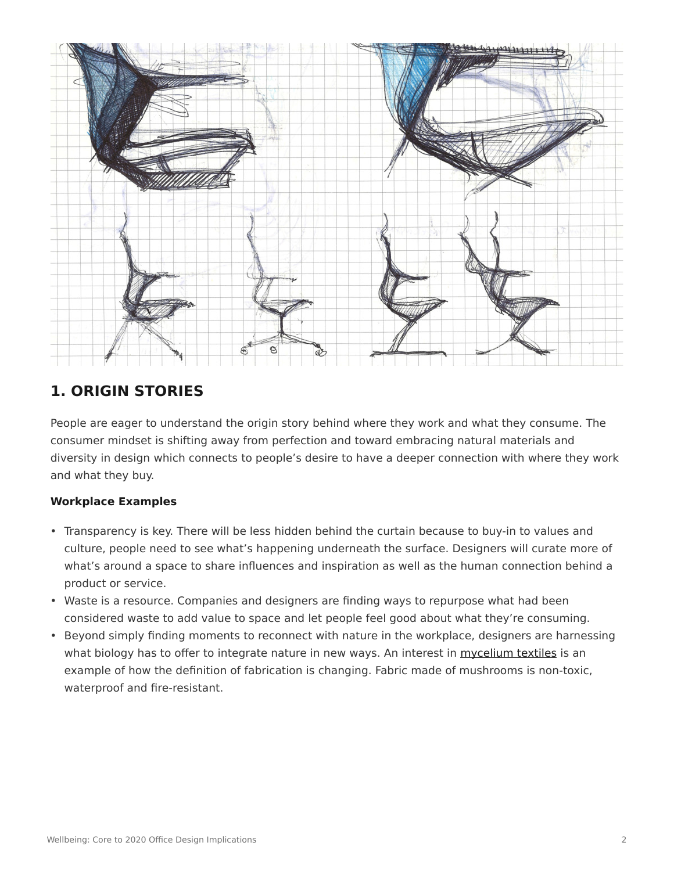

# **1. ORIGIN STORIES**

People are eager to understand the origin story behind where they work and what they consume. The consumer mindset is shifting away from perfection and toward embracing natural materials and diversity in design which connects to people's desire to have a deeper connection with where they work and what they buy.

### **Workplace Examples**

- Transparency is key. There will be less hidden behind the curtain because to buy-in to values and culture, people need to see what's happening underneath the surface. Designers will curate more of what's around a space to share influences and inspiration as well as the human connection behind a product or service.
- Waste is a resource. Companies and designers are finding ways to repurpose what had been considered waste to add value to space and let people feel good about what they're consuming.
- Beyond simply finding moments to reconnect with nature in the workplace, designers are harnessing what biology has to offer to integrate nature in new ways. An interest in [mycelium textiles](https://www.bustle.com/p/clothing-made-of-mushrooms-might-just-be-the-future-its-actually-pretty-cool-8018663) is an example of how the definition of fabrication is changing. Fabric made of mushrooms is non-toxic, waterproof and fire-resistant.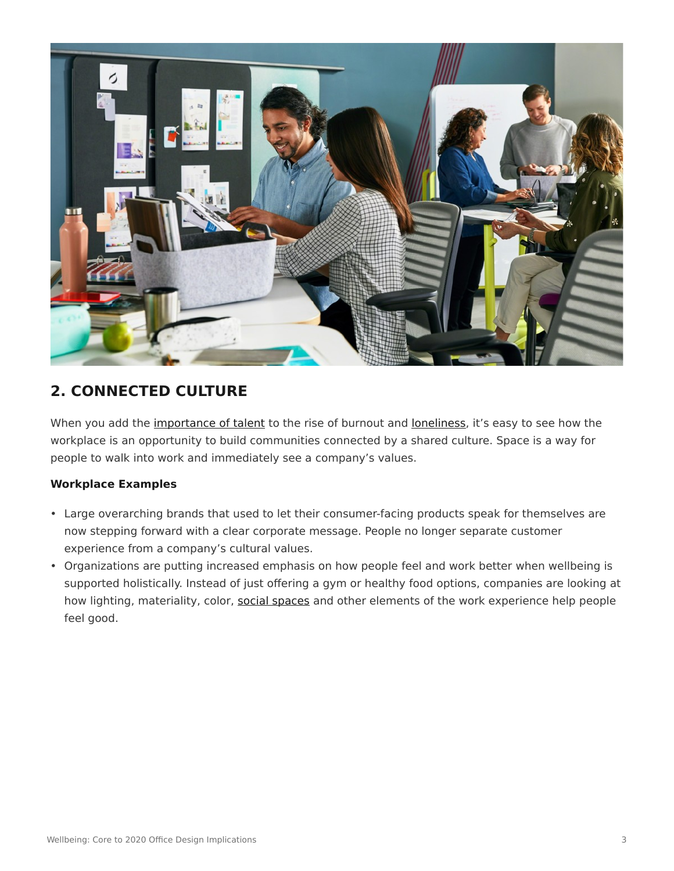

# **2. CONNECTED CULTURE**

When you add the [importance of talent](https://www.steelcase.com/asia-en/research/articles/topics/culture/talent-search/) to the rise of burnout and [loneliness](https://www.steelcase.com/asia-en/research/articles/topics/collaboration/five-ways-office-can-help-combat-loneliness/), it's easy to see how the workplace is an opportunity to build communities connected by a shared culture. Space is a way for people to walk into work and immediately see a company's values.

### **Workplace Examples**

- Large overarching brands that used to let their consumer-facing products speak for themselves are now stepping forward with a clear corporate message. People no longer separate customer experience from a company's cultural values.
- Organizations are putting increased emphasis on how people feel and work better when wellbeing is supported holistically. Instead of just offering a gym or healthy food options, companies are looking at how lighting, materiality, color, [social spaces](https://www.steelcase.com/asia-en/research/topics/social-office-spaces/) and other elements of the work experience help people feel good.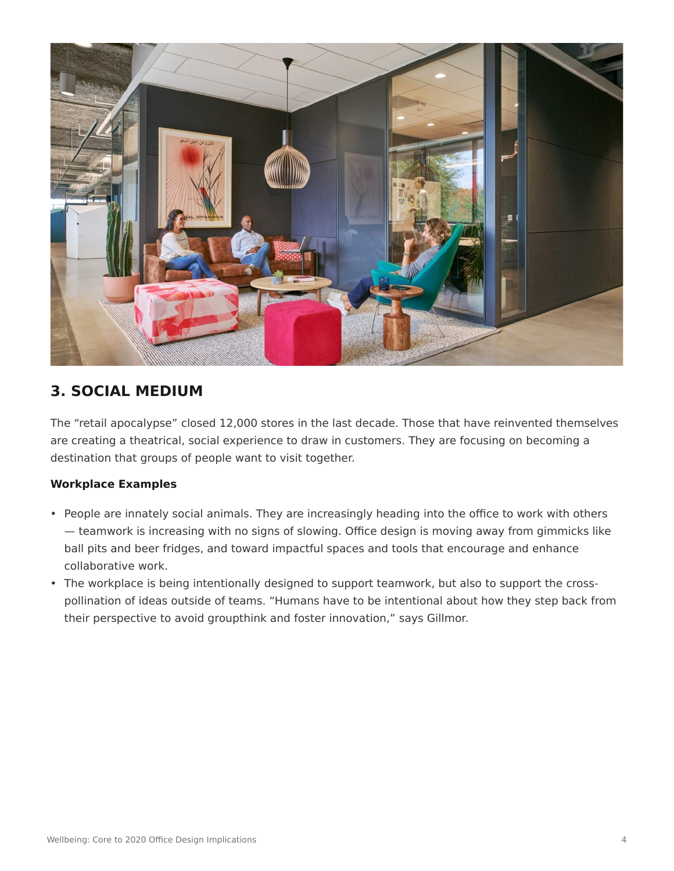

## **3. SOCIAL MEDIUM**

The "retail apocalypse" closed 12,000 stores in the last decade. Those that have reinvented themselves are creating a theatrical, social experience to draw in customers. They are focusing on becoming a destination that groups of people want to visit together.

#### **Workplace Examples**

- People are innately social animals. They are increasingly heading into the office to work with others — teamwork is increasing with no signs of slowing. Office design is moving away from gimmicks like ball pits and beer fridges, and toward impactful spaces and tools that encourage and enhance collaborative work.
- The workplace is being intentionally designed to support teamwork, but also to support the crosspollination of ideas outside of teams. "Humans have to be intentional about how they step back from their perspective to avoid groupthink and foster innovation," says Gillmor.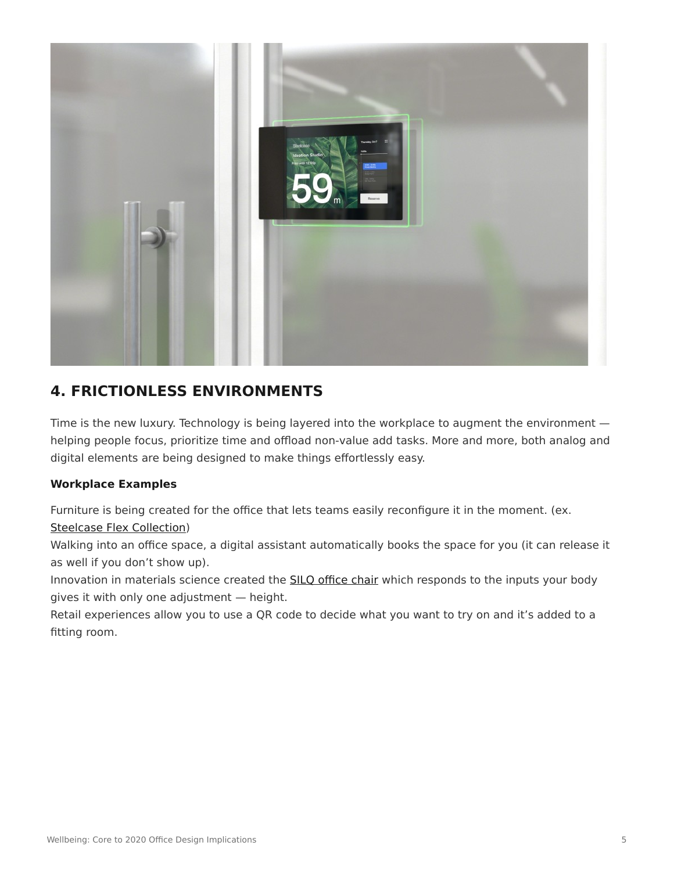

# **4. FRICTIONLESS ENVIRONMENTS**

Time is the new luxury. Technology is being layered into the workplace to augment the environment helping people focus, prioritize time and offload non-value add tasks. More and more, both analog and digital elements are being designed to make things effortlessly easy.

#### **Workplace Examples**

Furniture is being created for the office that lets teams easily reconfigure it in the moment. (ex. [Steelcase Flex Collection\)](https://www.steelcase.com/asia-en/products/panels/steelcase-flex-collection/)

Walking into an office space, a digital assistant automatically books the space for you (it can release it as well if you don't show up).

Innovation in materials science created the **[SILQ office chair](https://www.steelcase.com/asia-en/products/office-chairs/silq/)** which responds to the inputs your body gives it with only one adjustment — height.

Retail experiences allow you to use a QR code to decide what you want to try on and it's added to a fitting room.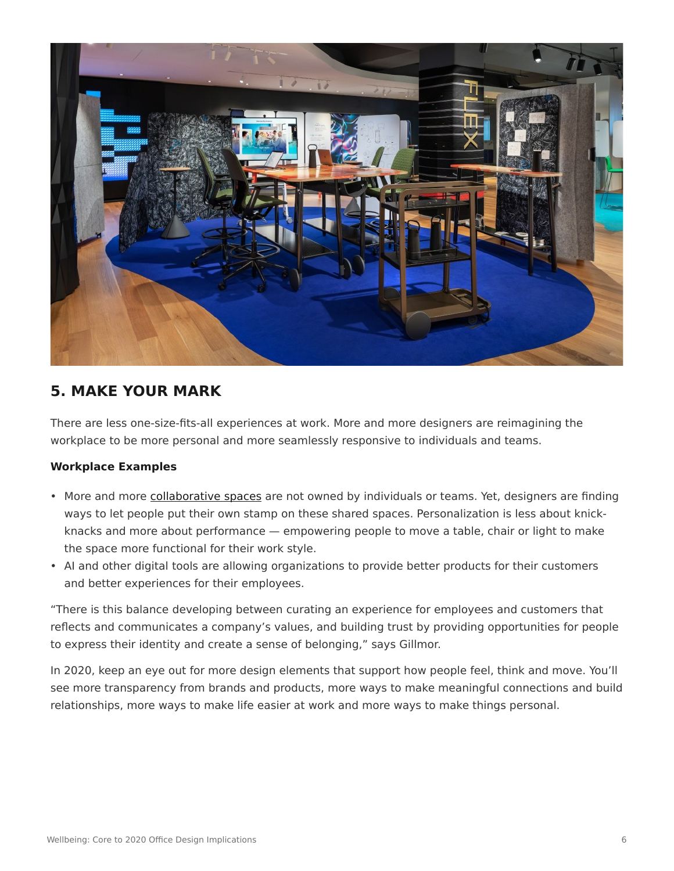

## **5. MAKE YOUR MARK**

There are less one-size-fits-all experiences at work. More and more designers are reimagining the workplace to be more personal and more seamlessly responsive to individuals and teams.

#### **Workplace Examples**

- More and more [collaborative spaces](https://www.steelcase.com/asia-en/office-renaissance/) are not owned by individuals or teams. Yet, designers are finding ways to let people put their own stamp on these shared spaces. Personalization is less about knickknacks and more about performance — empowering people to move a table, chair or light to make the space more functional for their work style.
- AI and other digital tools are allowing organizations to provide better products for their customers and better experiences for their employees.

"There is this balance developing between curating an experience for employees and customers that reflects and communicates a company's values, and building trust by providing opportunities for people to express their identity and create a sense of belonging," says Gillmor.

In 2020, keep an eye out for more design elements that support how people feel, think and move. You'll see more transparency from brands and products, more ways to make meaningful connections and build relationships, more ways to make life easier at work and more ways to make things personal.